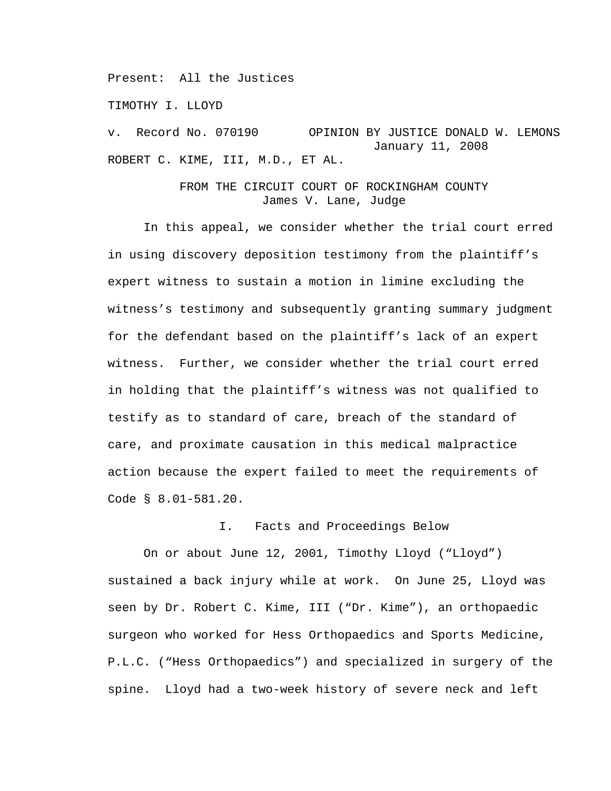Present: All the Justices

TIMOTHY I. LLOYD

v. Record No. 070190 OPINION BY JUSTICE DONALD W. LEMONS January 11, 2008 ROBERT C. KIME, III, M.D., ET AL.

## FROM THE CIRCUIT COURT OF ROCKINGHAM COUNTY James V. Lane, Judge

 In this appeal, we consider whether the trial court erred in using discovery deposition testimony from the plaintiff's expert witness to sustain a motion in limine excluding the witness's testimony and subsequently granting summary judgment for the defendant based on the plaintiff's lack of an expert witness. Further, we consider whether the trial court erred in holding that the plaintiff's witness was not qualified to testify as to standard of care, breach of the standard of care, and proximate causation in this medical malpractice action because the expert failed to meet the requirements of Code § 8.01-581.20.

## I. Facts and Proceedings Below

 On or about June 12, 2001, Timothy Lloyd ("Lloyd") sustained a back injury while at work. On June 25, Lloyd was seen by Dr. Robert C. Kime, III ("Dr. Kime"), an orthopaedic surgeon who worked for Hess Orthopaedics and Sports Medicine, P.L.C. ("Hess Orthopaedics") and specialized in surgery of the spine. Lloyd had a two-week history of severe neck and left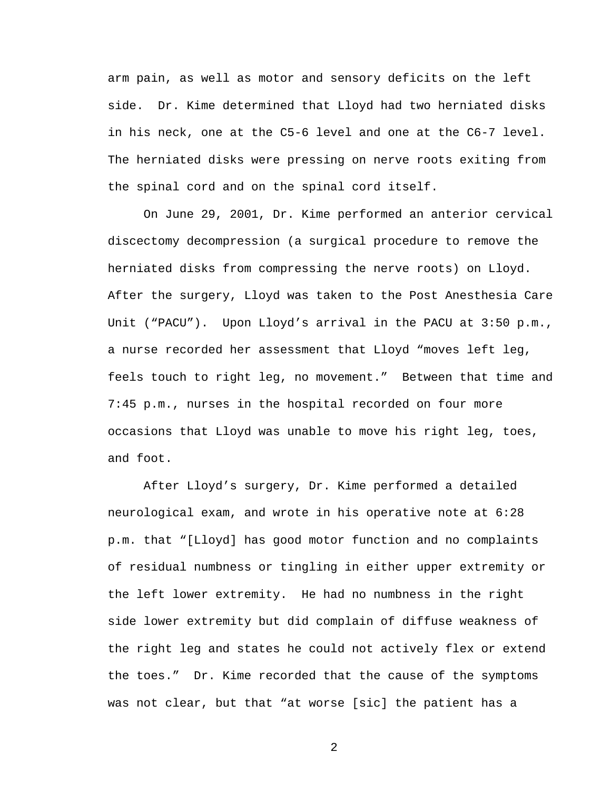arm pain, as well as motor and sensory deficits on the left side. Dr. Kime determined that Lloyd had two herniated disks in his neck, one at the C5-6 level and one at the C6-7 level. The herniated disks were pressing on nerve roots exiting from the spinal cord and on the spinal cord itself.

 On June 29, 2001, Dr. Kime performed an anterior cervical discectomy decompression (a surgical procedure to remove the herniated disks from compressing the nerve roots) on Lloyd. After the surgery, Lloyd was taken to the Post Anesthesia Care Unit ("PACU"). Upon Lloyd's arrival in the PACU at 3:50 p.m., a nurse recorded her assessment that Lloyd "moves left leg, feels touch to right leg, no movement." Between that time and 7:45 p.m., nurses in the hospital recorded on four more occasions that Lloyd was unable to move his right leg, toes, and foot.

 After Lloyd's surgery, Dr. Kime performed a detailed neurological exam, and wrote in his operative note at 6:28 p.m. that "[Lloyd] has good motor function and no complaints of residual numbness or tingling in either upper extremity or the left lower extremity. He had no numbness in the right side lower extremity but did complain of diffuse weakness of the right leg and states he could not actively flex or extend the toes." Dr. Kime recorded that the cause of the symptoms was not clear, but that "at worse [sic] the patient has a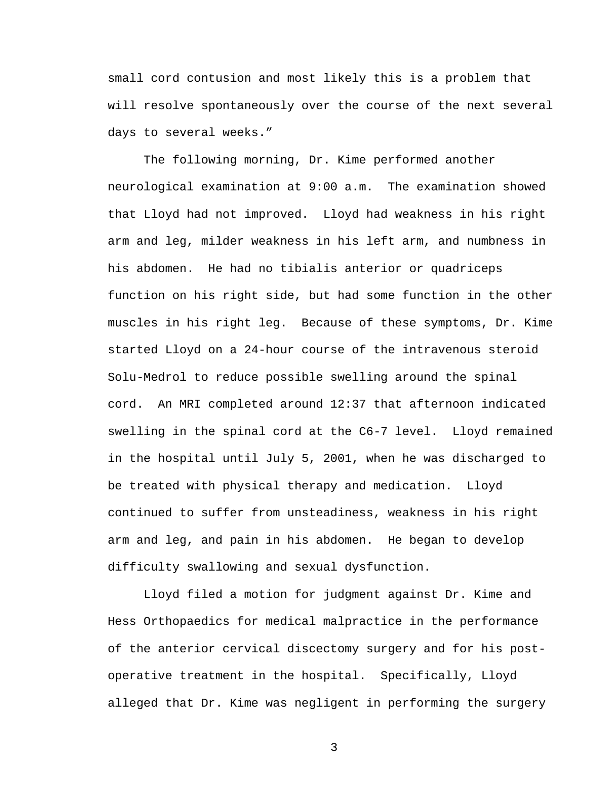small cord contusion and most likely this is a problem that will resolve spontaneously over the course of the next several days to several weeks."

 The following morning, Dr. Kime performed another neurological examination at 9:00 a.m. The examination showed that Lloyd had not improved. Lloyd had weakness in his right arm and leg, milder weakness in his left arm, and numbness in his abdomen. He had no tibialis anterior or quadriceps function on his right side, but had some function in the other muscles in his right leg. Because of these symptoms, Dr. Kime started Lloyd on a 24-hour course of the intravenous steroid Solu-Medrol to reduce possible swelling around the spinal cord. An MRI completed around 12:37 that afternoon indicated swelling in the spinal cord at the C6-7 level. Lloyd remained in the hospital until July 5, 2001, when he was discharged to be treated with physical therapy and medication. Lloyd continued to suffer from unsteadiness, weakness in his right arm and leg, and pain in his abdomen. He began to develop difficulty swallowing and sexual dysfunction.

 Lloyd filed a motion for judgment against Dr. Kime and Hess Orthopaedics for medical malpractice in the performance of the anterior cervical discectomy surgery and for his postoperative treatment in the hospital. Specifically, Lloyd alleged that Dr. Kime was negligent in performing the surgery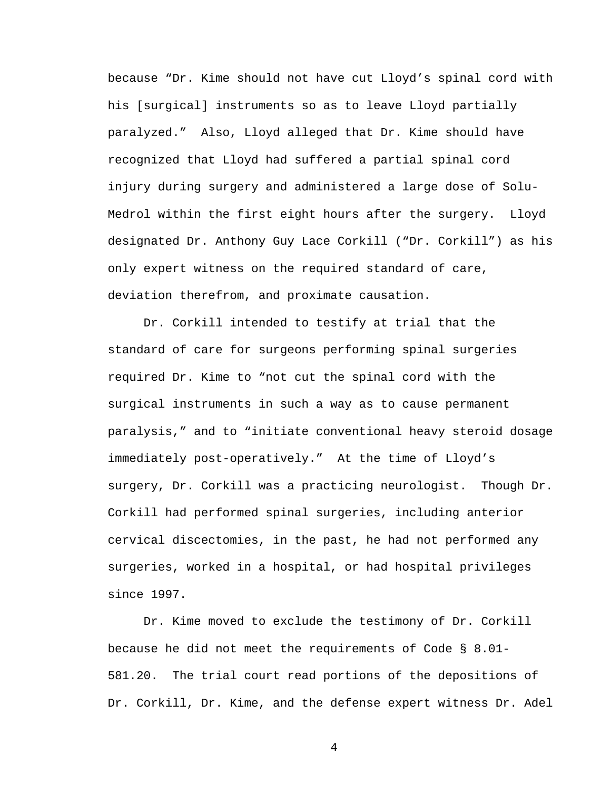because "Dr. Kime should not have cut Lloyd's spinal cord with his [surgical] instruments so as to leave Lloyd partially paralyzed." Also, Lloyd alleged that Dr. Kime should have recognized that Lloyd had suffered a partial spinal cord injury during surgery and administered a large dose of Solu-Medrol within the first eight hours after the surgery. Lloyd designated Dr. Anthony Guy Lace Corkill ("Dr. Corkill") as his only expert witness on the required standard of care, deviation therefrom, and proximate causation.

 Dr. Corkill intended to testify at trial that the standard of care for surgeons performing spinal surgeries required Dr. Kime to "not cut the spinal cord with the surgical instruments in such a way as to cause permanent paralysis," and to "initiate conventional heavy steroid dosage immediately post-operatively." At the time of Lloyd's surgery, Dr. Corkill was a practicing neurologist. Though Dr. Corkill had performed spinal surgeries, including anterior cervical discectomies, in the past, he had not performed any surgeries, worked in a hospital, or had hospital privileges since 1997.

 Dr. Kime moved to exclude the testimony of Dr. Corkill because he did not meet the requirements of Code § 8.01- 581.20. The trial court read portions of the depositions of Dr. Corkill, Dr. Kime, and the defense expert witness Dr. Adel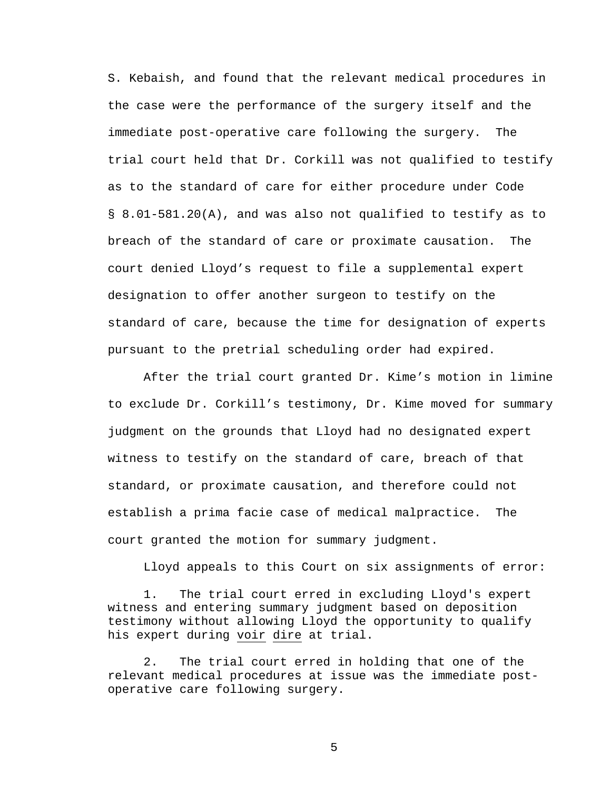S. Kebaish, and found that the relevant medical procedures in the case were the performance of the surgery itself and the immediate post-operative care following the surgery. The trial court held that Dr. Corkill was not qualified to testify as to the standard of care for either procedure under Code § 8.01-581.20(A), and was also not qualified to testify as to breach of the standard of care or proximate causation. The court denied Lloyd's request to file a supplemental expert designation to offer another surgeon to testify on the standard of care, because the time for designation of experts pursuant to the pretrial scheduling order had expired.

 After the trial court granted Dr. Kime's motion in limine to exclude Dr. Corkill's testimony, Dr. Kime moved for summary judgment on the grounds that Lloyd had no designated expert witness to testify on the standard of care, breach of that standard, or proximate causation, and therefore could not establish a prima facie case of medical malpractice. The court granted the motion for summary judgment.

Lloyd appeals to this Court on six assignments of error:

1. The trial court erred in excluding Lloyd's expert witness and entering summary judgment based on deposition testimony without allowing Lloyd the opportunity to qualify his expert during voir dire at trial.

2. The trial court erred in holding that one of the relevant medical procedures at issue was the immediate postoperative care following surgery.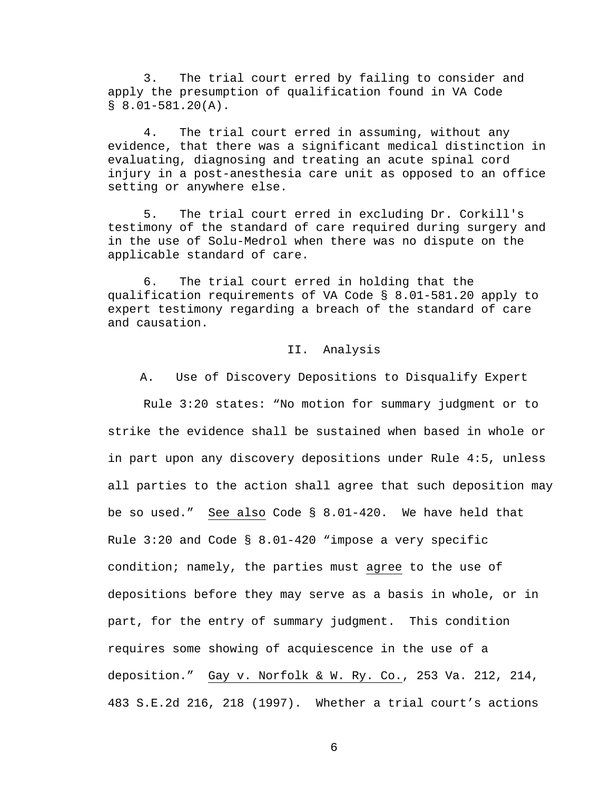3. The trial court erred by failing to consider and apply the presumption of qualification found in VA Code  $$8.01-581.20(A).$ 

4. The trial court erred in assuming, without any evidence, that there was a significant medical distinction in evaluating, diagnosing and treating an acute spinal cord injury in a post-anesthesia care unit as opposed to an office setting or anywhere else.

5. The trial court erred in excluding Dr. Corkill's testimony of the standard of care required during surgery and in the use of Solu-Medrol when there was no dispute on the applicable standard of care.

6. The trial court erred in holding that the qualification requirements of VA Code § 8.01-581.20 apply to expert testimony regarding a breach of the standard of care and causation.

#### II. Analysis

A. Use of Discovery Depositions to Disqualify Expert

 Rule 3:20 states: "No motion for summary judgment or to strike the evidence shall be sustained when based in whole or in part upon any discovery depositions under Rule 4:5, unless all parties to the action shall agree that such deposition may be so used." See also Code § 8.01-420. We have held that Rule  $3:20$  and Code §  $8.01-420$  "impose a very specific condition; namely, the parties must agree to the use of depositions before they may serve as a basis in whole, or in part, for the entry of summary judgment. This condition requires some showing of acquiescence in the use of a deposition." Gay v. Norfolk & W. Ry. Co., 253 Va. 212, 214, 483 S.E.2d 216, 218 (1997). Whether a trial court's actions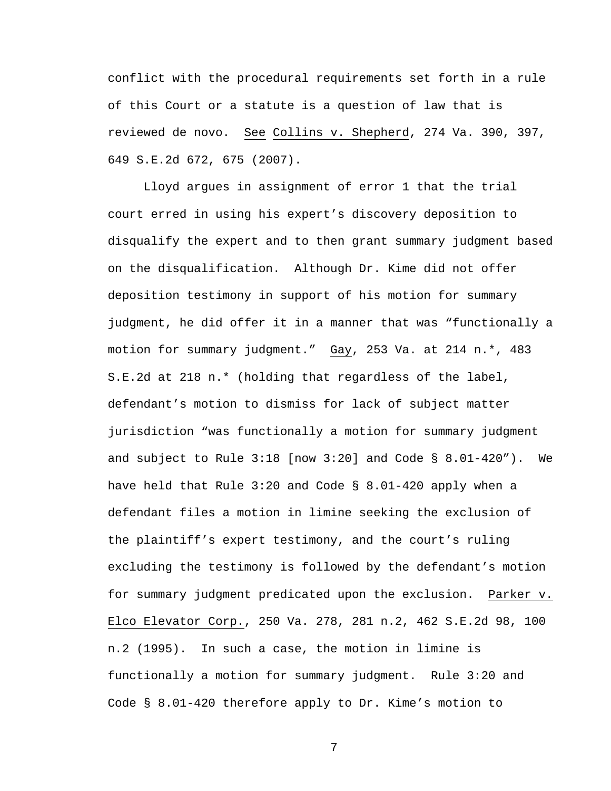conflict with the procedural requirements set forth in a rule of this Court or a statute is a question of law that is reviewed de novo. See Collins v. Shepherd, 274 Va. 390, 397, 649 S.E.2d 672, 675 (2007).

 Lloyd argues in assignment of error 1 that the trial court erred in using his expert's discovery deposition to disqualify the expert and to then grant summary judgment based on the disqualification. Although Dr. Kime did not offer deposition testimony in support of his motion for summary judgment, he did offer it in a manner that was "functionally a motion for summary judgment." Gay, 253 Va. at 214 n.\*, 483 S.E.2d at 218 n.\* (holding that regardless of the label, defendant's motion to dismiss for lack of subject matter jurisdiction "was functionally a motion for summary judgment and subject to Rule  $3:18$  [now  $3:20$ ] and Code §  $8.01-420"$ ). We have held that Rule 3:20 and Code § 8.01-420 apply when a defendant files a motion in limine seeking the exclusion of the plaintiff's expert testimony, and the court's ruling excluding the testimony is followed by the defendant's motion for summary judgment predicated upon the exclusion. Parker v. Elco Elevator Corp., 250 Va. 278, 281 n.2, 462 S.E.2d 98, 100 n.2 (1995). In such a case, the motion in limine is functionally a motion for summary judgment. Rule 3:20 and Code § 8.01-420 therefore apply to Dr. Kime's motion to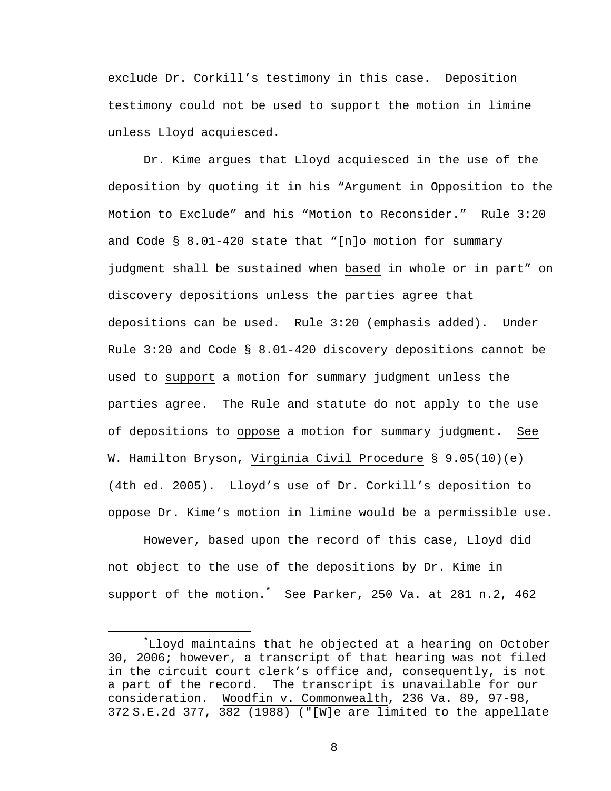exclude Dr. Corkill's testimony in this case. Deposition testimony could not be used to support the motion in limine unless Lloyd acquiesced.

 Dr. Kime argues that Lloyd acquiesced in the use of the deposition by quoting it in his "Argument in Opposition to the Motion to Exclude" and his "Motion to Reconsider." Rule 3:20 and Code § 8.01-420 state that "[n]o motion for summary judgment shall be sustained when based in whole or in part" on discovery depositions unless the parties agree that depositions can be used. Rule 3:20 (emphasis added). Under Rule 3:20 and Code § 8.01-420 discovery depositions cannot be used to support a motion for summary judgment unless the parties agree. The Rule and statute do not apply to the use of depositions to oppose a motion for summary judgment. See W. Hamilton Bryson, Virginia Civil Procedure § 9.05(10)(e) (4th ed. 2005). Lloyd's use of Dr. Corkill's deposition to oppose Dr. Kime's motion in limine would be a permissible use.

However, based upon the record of this case, Lloyd did not object to the use of the depositions by Dr. Kime in support of the motion.<sup>\*</sup> See Parker, 250 Va. at 281 n.2, 462

 $\overline{\phantom{a}}$ Lloyd maintains that he objected at a hearing on October 30, 2006; however, a transcript of that hearing was not filed in the circuit court clerk's office and, consequently, is not a part of the record. The transcript is unavailable for our consideration. Woodfin v. Commonwealth, 236 Va. 89, 97-98, 372 S.E.2d 377, 382 (1988) ("[W]e are limited to the appellate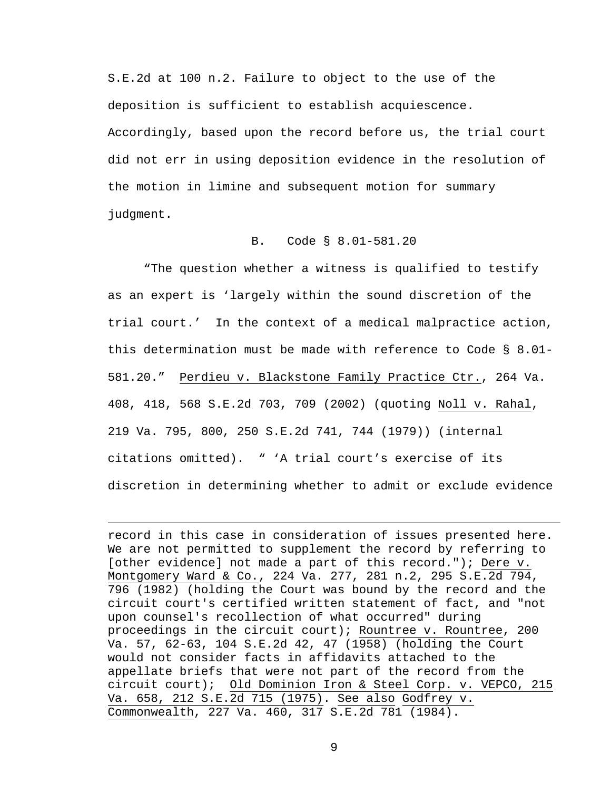S.E.2d at 100 n.2. Failure to object to the use of the deposition is sufficient to establish acquiescence. Accordingly, based upon the record before us, the trial court did not err in using deposition evidence in the resolution of the motion in limine and subsequent motion for summary judgment.

# B. Code § 8.01-581.20

 "The question whether a witness is qualified to testify as an expert is 'largely within the sound discretion of the trial court.' In the context of a medical malpractice action, this determination must be made with reference to Code § 8.01- 581.20." Perdieu v. Blackstone Family Practice Ctr., 264 Va. 408, 418, 568 S.E.2d 703, 709 (2002) (quoting Noll v. Rahal, 219 Va. 795, 800, 250 S.E.2d 741, 744 (1979)) (internal citations omitted). " 'A trial court's exercise of its discretion in determining whether to admit or exclude evidence

record in this case in consideration of issues presented here. We are not permitted to supplement the record by referring to [other evidence] not made a part of this record."); Dere v. Montgomery Ward & Co., 224 Va. 277, 281 n.2, 295 S.E.2d 794, 796 (1982) (holding the Court was bound by the record and the circuit court's certified written statement of fact, and "not upon counsel's recollection of what occurred" during proceedings in the circuit court); Rountree v. Rountree, 200 Va. 57, 62-63, 104 S.E.2d 42, 47 (1958) (holding the Court would not consider facts in affidavits attached to the appellate briefs that were not part of the record from the circuit court); Old Dominion Iron & Steel Corp. v. VEPCO, 215 Va. 658, 212 S.E.2d 715 (1975). See also Godfrey v. Commonwealth, 227 Va. 460, 317 S.E.2d 781 (1984).

 $\overline{\phantom{0}}$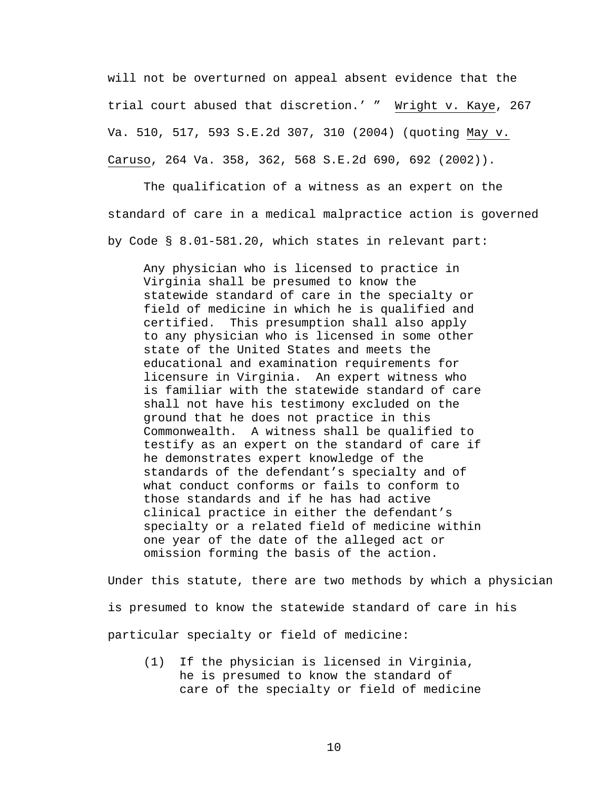will not be overturned on appeal absent evidence that the trial court abused that discretion.' " Wright v. Kaye, 267 Va. 510, 517, 593 S.E.2d 307, 310 (2004) (quoting May v. Caruso, 264 Va. 358, 362, 568 S.E.2d 690, 692 (2002)).

 The qualification of a witness as an expert on the standard of care in a medical malpractice action is governed by Code § 8.01-581.20, which states in relevant part:

Any physician who is licensed to practice in Virginia shall be presumed to know the statewide standard of care in the specialty or field of medicine in which he is qualified and certified. This presumption shall also apply to any physician who is licensed in some other state of the United States and meets the educational and examination requirements for licensure in Virginia. An expert witness who is familiar with the statewide standard of care shall not have his testimony excluded on the ground that he does not practice in this Commonwealth. A witness shall be qualified to testify as an expert on the standard of care if he demonstrates expert knowledge of the standards of the defendant's specialty and of what conduct conforms or fails to conform to those standards and if he has had active clinical practice in either the defendant's specialty or a related field of medicine within one year of the date of the alleged act or omission forming the basis of the action.

Under this statute, there are two methods by which a physician is presumed to know the statewide standard of care in his particular specialty or field of medicine:

(1) If the physician is licensed in Virginia, he is presumed to know the standard of care of the specialty or field of medicine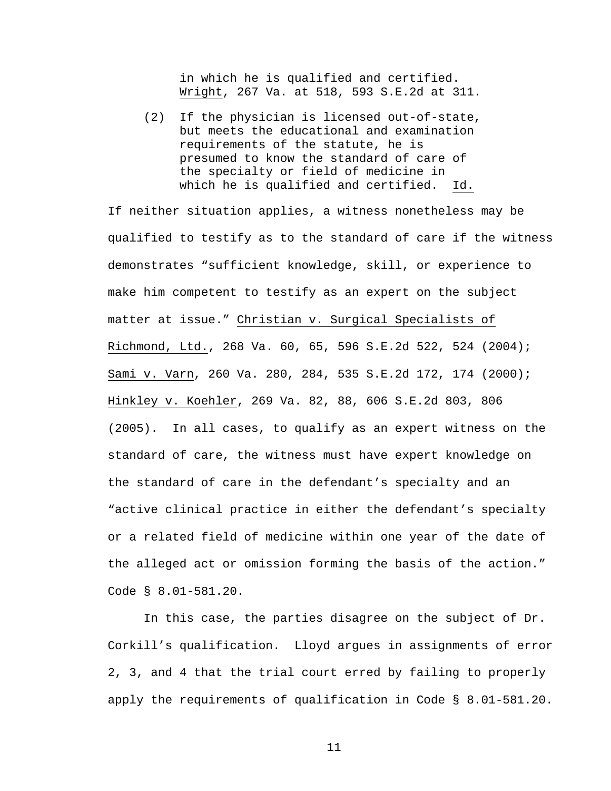in which he is qualified and certified. Wright, 267 Va. at 518, 593 S.E.2d at 311.

(2) If the physician is licensed out-of-state, but meets the educational and examination requirements of the statute, he is presumed to know the standard of care of the specialty or field of medicine in which he is qualified and certified. Id.

If neither situation applies, a witness nonetheless may be qualified to testify as to the standard of care if the witness demonstrates "sufficient knowledge, skill, or experience to make him competent to testify as an expert on the subject matter at issue." Christian v. Surgical Specialists of Richmond, Ltd., 268 Va. 60, 65, 596 S.E.2d 522, 524 (2004); Sami v. Varn, 260 Va. 280, 284, 535 S.E.2d 172, 174 (2000); Hinkley v. Koehler, 269 Va. 82, 88, 606 S.E.2d 803, 806 (2005). In all cases, to qualify as an expert witness on the standard of care, the witness must have expert knowledge on the standard of care in the defendant's specialty and an "active clinical practice in either the defendant's specialty or a related field of medicine within one year of the date of the alleged act or omission forming the basis of the action." Code § 8.01-581.20.

 In this case, the parties disagree on the subject of Dr. Corkill's qualification. Lloyd argues in assignments of error 2, 3, and 4 that the trial court erred by failing to properly apply the requirements of qualification in Code § 8.01-581.20.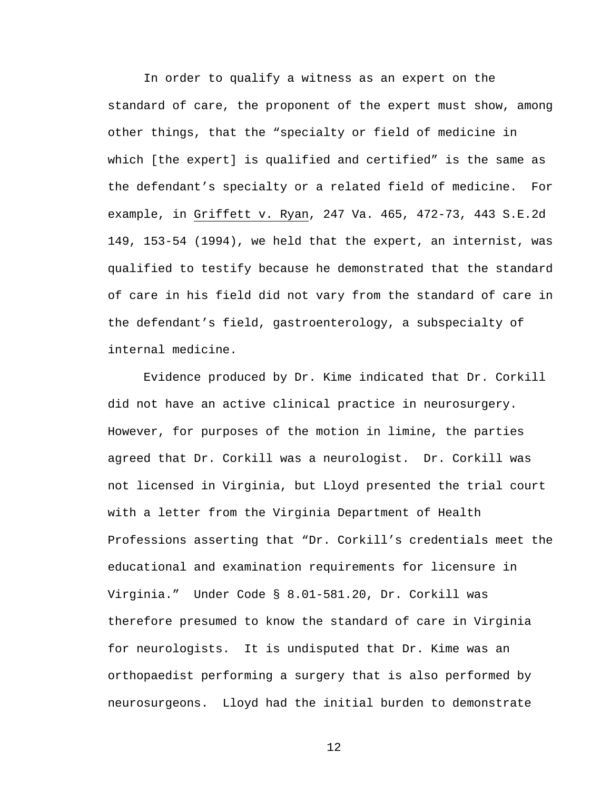In order to qualify a witness as an expert on the standard of care, the proponent of the expert must show, among other things, that the "specialty or field of medicine in which [the expert] is qualified and certified" is the same as the defendant's specialty or a related field of medicine. For example, in Griffett v. Ryan, 247 Va. 465, 472-73, 443 S.E.2d 149, 153-54 (1994), we held that the expert, an internist, was qualified to testify because he demonstrated that the standard of care in his field did not vary from the standard of care in the defendant's field, gastroenterology, a subspecialty of internal medicine.

 Evidence produced by Dr. Kime indicated that Dr. Corkill did not have an active clinical practice in neurosurgery. However, for purposes of the motion in limine, the parties agreed that Dr. Corkill was a neurologist. Dr. Corkill was not licensed in Virginia, but Lloyd presented the trial court with a letter from the Virginia Department of Health Professions asserting that "Dr. Corkill's credentials meet the educational and examination requirements for licensure in Virginia." Under Code § 8.01-581.20, Dr. Corkill was therefore presumed to know the standard of care in Virginia for neurologists. It is undisputed that Dr. Kime was an orthopaedist performing a surgery that is also performed by neurosurgeons. Lloyd had the initial burden to demonstrate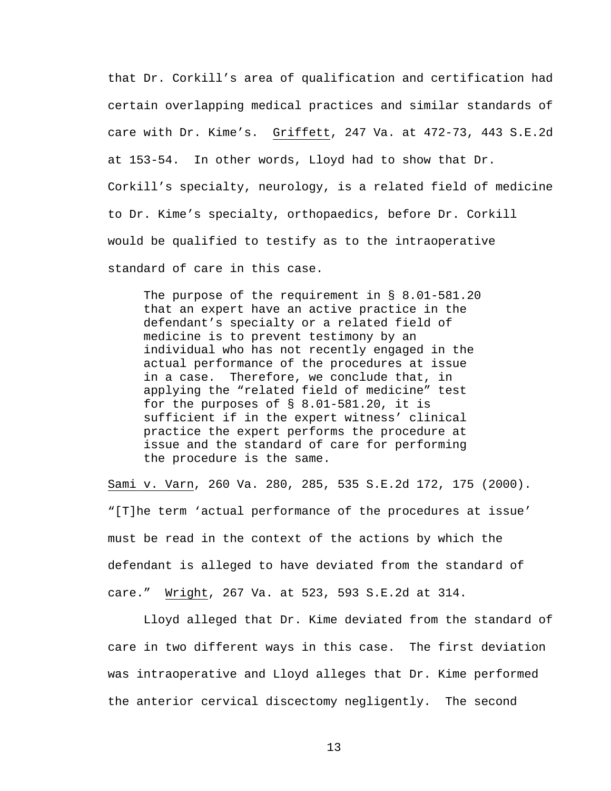that Dr. Corkill's area of qualification and certification had certain overlapping medical practices and similar standards of care with Dr. Kime's. Griffett, 247 Va. at 472-73, 443 S.E.2d at 153-54. In other words, Lloyd had to show that Dr. Corkill's specialty, neurology, is a related field of medicine to Dr. Kime's specialty, orthopaedics, before Dr. Corkill would be qualified to testify as to the intraoperative standard of care in this case.

The purpose of the requirement in § 8.01-581.20 that an expert have an active practice in the defendant's specialty or a related field of medicine is to prevent testimony by an individual who has not recently engaged in the actual performance of the procedures at issue in a case. Therefore, we conclude that, in applying the "related field of medicine" test for the purposes of § 8.01-581.20, it is sufficient if in the expert witness' clinical practice the expert performs the procedure at issue and the standard of care for performing the procedure is the same.

Sami v. Varn, 260 Va. 280, 285, 535 S.E.2d 172, 175 (2000). "[T]he term 'actual performance of the procedures at issue' must be read in the context of the actions by which the defendant is alleged to have deviated from the standard of care." Wright, 267 Va. at 523, 593 S.E.2d at 314.

 Lloyd alleged that Dr. Kime deviated from the standard of care in two different ways in this case. The first deviation was intraoperative and Lloyd alleges that Dr. Kime performed the anterior cervical discectomy negligently. The second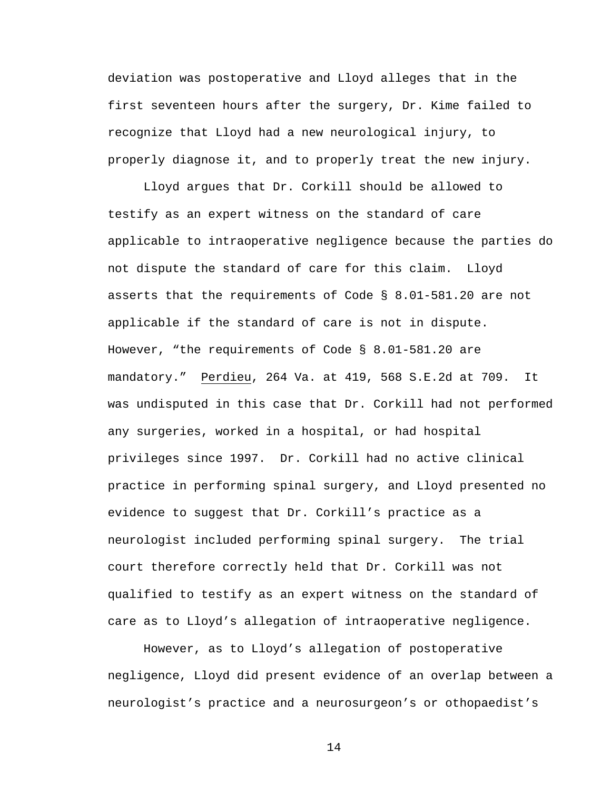deviation was postoperative and Lloyd alleges that in the first seventeen hours after the surgery, Dr. Kime failed to recognize that Lloyd had a new neurological injury, to properly diagnose it, and to properly treat the new injury.

 Lloyd argues that Dr. Corkill should be allowed to testify as an expert witness on the standard of care applicable to intraoperative negligence because the parties do not dispute the standard of care for this claim. Lloyd asserts that the requirements of Code § 8.01-581.20 are not applicable if the standard of care is not in dispute. However, "the requirements of Code § 8.01-581.20 are mandatory." Perdieu, 264 Va. at 419, 568 S.E.2d at 709. It was undisputed in this case that Dr. Corkill had not performed any surgeries, worked in a hospital, or had hospital privileges since 1997. Dr. Corkill had no active clinical practice in performing spinal surgery, and Lloyd presented no evidence to suggest that Dr. Corkill's practice as a neurologist included performing spinal surgery. The trial court therefore correctly held that Dr. Corkill was not qualified to testify as an expert witness on the standard of care as to Lloyd's allegation of intraoperative negligence.

 However, as to Lloyd's allegation of postoperative negligence, Lloyd did present evidence of an overlap between a neurologist's practice and a neurosurgeon's or othopaedist's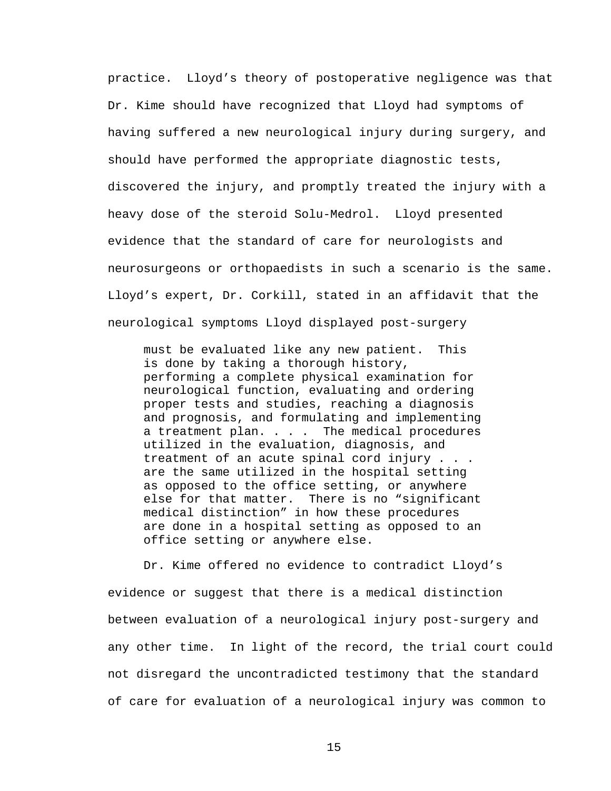practice. Lloyd's theory of postoperative negligence was that Dr. Kime should have recognized that Lloyd had symptoms of having suffered a new neurological injury during surgery, and should have performed the appropriate diagnostic tests, discovered the injury, and promptly treated the injury with a heavy dose of the steroid Solu-Medrol. Lloyd presented evidence that the standard of care for neurologists and neurosurgeons or orthopaedists in such a scenario is the same. Lloyd's expert, Dr. Corkill, stated in an affidavit that the neurological symptoms Lloyd displayed post-surgery

must be evaluated like any new patient. This is done by taking a thorough history, performing a complete physical examination for neurological function, evaluating and ordering proper tests and studies, reaching a diagnosis and prognosis, and formulating and implementing a treatment plan. . . . The medical procedures utilized in the evaluation, diagnosis, and treatment of an acute spinal cord injury . . . are the same utilized in the hospital setting as opposed to the office setting, or anywhere else for that matter. There is no "significant medical distinction" in how these procedures are done in a hospital setting as opposed to an office setting or anywhere else.

 Dr. Kime offered no evidence to contradict Lloyd's evidence or suggest that there is a medical distinction between evaluation of a neurological injury post-surgery and any other time. In light of the record, the trial court could not disregard the uncontradicted testimony that the standard of care for evaluation of a neurological injury was common to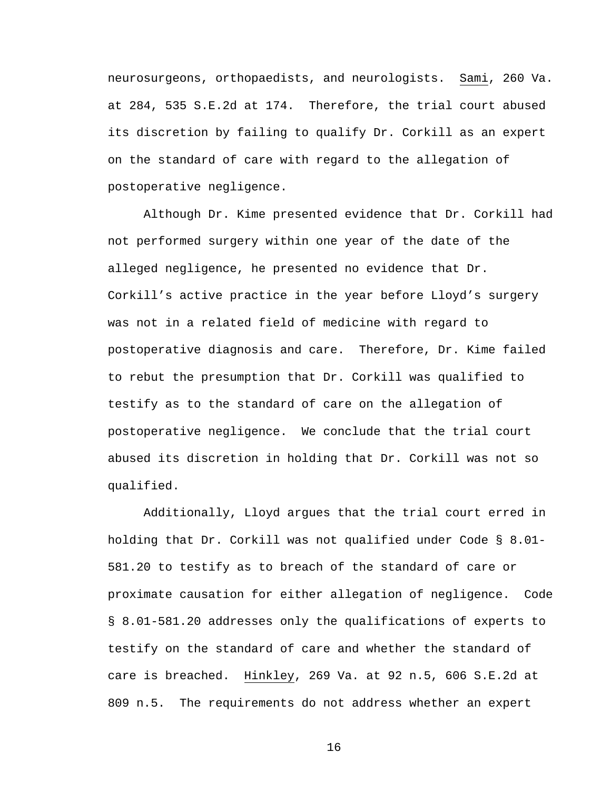neurosurgeons, orthopaedists, and neurologists. Sami, 260 Va. at 284, 535 S.E.2d at 174. Therefore, the trial court abused its discretion by failing to qualify Dr. Corkill as an expert on the standard of care with regard to the allegation of postoperative negligence.

 Although Dr. Kime presented evidence that Dr. Corkill had not performed surgery within one year of the date of the alleged negligence, he presented no evidence that Dr. Corkill's active practice in the year before Lloyd's surgery was not in a related field of medicine with regard to postoperative diagnosis and care. Therefore, Dr. Kime failed to rebut the presumption that Dr. Corkill was qualified to testify as to the standard of care on the allegation of postoperative negligence. We conclude that the trial court abused its discretion in holding that Dr. Corkill was not so qualified.

 Additionally, Lloyd argues that the trial court erred in holding that Dr. Corkill was not qualified under Code § 8.01- 581.20 to testify as to breach of the standard of care or proximate causation for either allegation of negligence. Code § 8.01-581.20 addresses only the qualifications of experts to testify on the standard of care and whether the standard of care is breached. Hinkley, 269 Va. at 92 n.5, 606 S.E.2d at 809 n.5. The requirements do not address whether an expert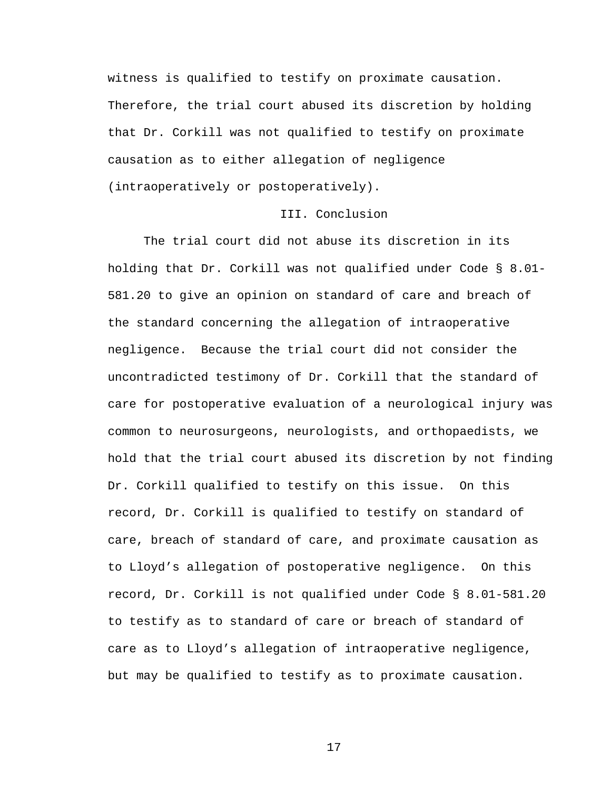witness is qualified to testify on proximate causation. Therefore, the trial court abused its discretion by holding that Dr. Corkill was not qualified to testify on proximate causation as to either allegation of negligence (intraoperatively or postoperatively).

## III. Conclusion

 The trial court did not abuse its discretion in its holding that Dr. Corkill was not qualified under Code § 8.01- 581.20 to give an opinion on standard of care and breach of the standard concerning the allegation of intraoperative negligence. Because the trial court did not consider the uncontradicted testimony of Dr. Corkill that the standard of care for postoperative evaluation of a neurological injury was common to neurosurgeons, neurologists, and orthopaedists, we hold that the trial court abused its discretion by not finding Dr. Corkill qualified to testify on this issue. On this record, Dr. Corkill is qualified to testify on standard of care, breach of standard of care, and proximate causation as to Lloyd's allegation of postoperative negligence. On this record, Dr. Corkill is not qualified under Code § 8.01-581.20 to testify as to standard of care or breach of standard of care as to Lloyd's allegation of intraoperative negligence, but may be qualified to testify as to proximate causation.